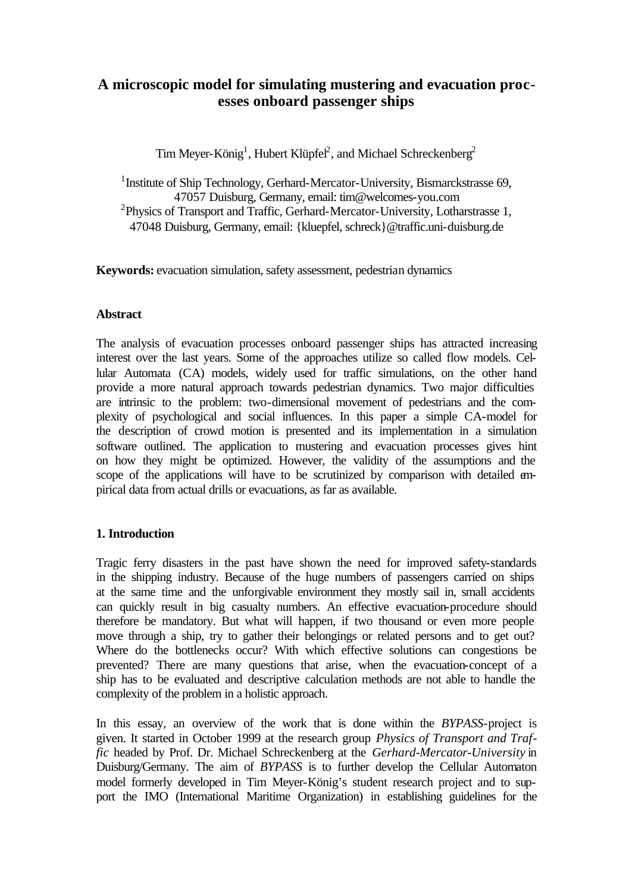# **A microscopic model for simulating mustering and evacuation processes onboard passenger ships**

Tim Meyer-König<sup>1</sup>, Hubert Klüpfel<sup>2</sup>, and Michael Schreckenberg<sup>2</sup>

<sup>1</sup> Institute of Ship Technology, Gerhard-Mercator-University, Bismarckstrasse 69, 47057 Duisburg, Germany, email: tim@welcomes-you.com <sup>2</sup>Physics of Transport and Traffic, Gerhard-Mercator-University, Lotharstrasse 1, 47048 Duisburg, Germany, email: {kluepfel, schreck}@traffic.uni-duisburg.de

**Keywords:** evacuation simulation, safety assessment, pedestrian dynamics

### **Abstract**

The analysis of evacuation processes onboard passenger ships has attracted increasing interest over the last years. Some of the approaches utilize so called flow models. Cellular Automata (CA) models, widely used for traffic simulations, on the other hand provide a more natural approach towards pedestrian dynamics. Two major difficulties are intrinsic to the problem: two-dimensional movement of pedestrians and the complexity of psychological and social influences. In this paper a simple CA-model for the description of crowd motion is presented and its implementation in a simulation software outlined. The application to mustering and evacuation processes gives hint on how they might be optimized. However, the validity of the assumptions and the scope of the applications will have to be scrutinized by comparison with detailed empirical data from actual drills or evacuations, as far as available.

# **1. Introduction**

Tragic ferry disasters in the past have shown the need for improved safety-standards in the shipping industry. Because of the huge numbers of passengers carried on ships at the same time and the unforgivable environment they mostly sail in, small accidents can quickly result in big casualty numbers. An effective evacuation-procedure should therefore be mandatory. But what will happen, if two thousand or even more people move through a ship, try to gather their belongings or related persons and to get out? Where do the bottlenecks occur? With which effective solutions can congestions be prevented? There are many questions that arise, when the evacuation-concept of a ship has to be evaluated and descriptive calculation methods are not able to handle the complexity of the problem in a holistic approach.

In this essay, an overview of the work that is done within the *BYPASS*-project is given. It started in October 1999 at the research group *Physics of Transport and Traffic* headed by Prof. Dr. Michael Schreckenberg at the *Gerhard-Mercator-University* in Duisburg/Germany. The aim of *BYPASS* is to further develop the Cellular Automaton model formerly developed in Tim Meyer-König's student research project and to support the IMO (International Maritime Organization) in establishing guidelines for the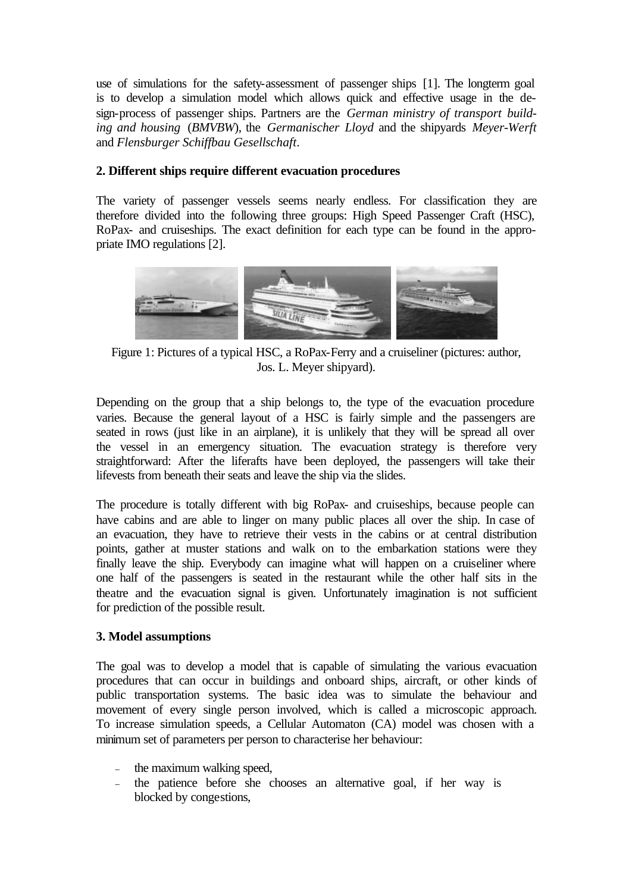use of simulations for the safety-assessment of passenger ships [1]. The longterm goal is to develop a simulation model which allows quick and effective usage in the design-process of passenger ships. Partners are the *German ministry of transport building and housing* (*BMVBW*), the *Germanischer Lloyd* and the shipyards *Meyer-Werft* and *Flensburger Schiffbau Gesellschaft*.

### **2. Different ships require different evacuation procedures**

The variety of passenger vessels seems nearly endless. For classification they are therefore divided into the following three groups: High Speed Passenger Craft (HSC), RoPax- and cruiseships. The exact definition for each type can be found in the appropriate IMO regulations [2].



Figure 1: Pictures of a typical HSC, a RoPax-Ferry and a cruiseliner (pictures: author, Jos. L. Meyer shipyard).

Depending on the group that a ship belongs to, the type of the evacuation procedure varies. Because the general layout of a HSC is fairly simple and the passengers are seated in rows (just like in an airplane), it is unlikely that they will be spread all over the vessel in an emergency situation. The evacuation strategy is therefore very straightforward: After the liferafts have been deployed, the passengers will take their lifevests from beneath their seats and leave the ship via the slides.

The procedure is totally different with big RoPax- and cruiseships, because people can have cabins and are able to linger on many public places all over the ship. In case of an evacuation, they have to retrieve their vests in the cabins or at central distribution points, gather at muster stations and walk on to the embarkation stations were they finally leave the ship. Everybody can imagine what will happen on a cruiseliner where one half of the passengers is seated in the restaurant while the other half sits in the theatre and the evacuation signal is given. Unfortunately imagination is not sufficient for prediction of the possible result.

#### **3. Model assumptions**

The goal was to develop a model that is capable of simulating the various evacuation procedures that can occur in buildings and onboard ships, aircraft, or other kinds of public transportation systems. The basic idea was to simulate the behaviour and movement of every single person involved, which is called a microscopic approach. To increase simulation speeds, a Cellular Automaton (CA) model was chosen with a minimum set of parameters per person to characterise her behaviour:

- the maximum walking speed,
- the patience before she chooses an alternative goal, if her way is blocked by congestions,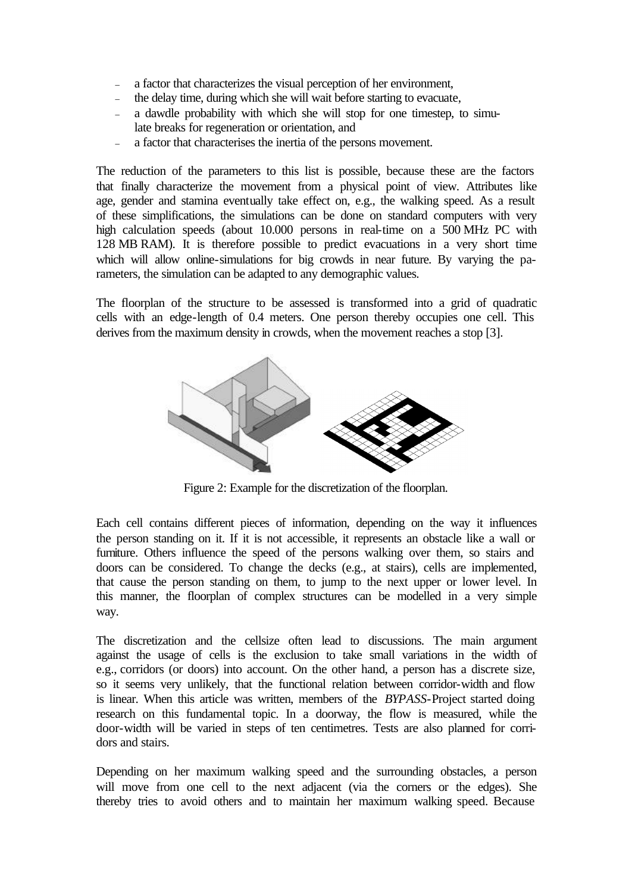- a factor that characterizes the visual perception of her environment,
- the delay time, during which she will wait before starting to evacuate,
- a dawdle probability with which she will stop for one timestep, to simulate breaks for regeneration or orientation, and
- a factor that characterises the inertia of the persons movement.

The reduction of the parameters to this list is possible, because these are the factors that finally characterize the movement from a physical point of view. Attributes like age, gender and stamina eventually take effect on, e.g., the walking speed. As a result of these simplifications, the simulations can be done on standard computers with very high calculation speeds (about 10.000 persons in real-time on a 500 MHz PC with 128 MB RAM). It is therefore possible to predict evacuations in a very short time which will allow online-simulations for big crowds in near future. By varying the parameters, the simulation can be adapted to any demographic values.

The floorplan of the structure to be assessed is transformed into a grid of quadratic cells with an edge-length of 0.4 meters. One person thereby occupies one cell. This derives from the maximum density in crowds, when the movement reaches a stop [3].



Figure 2: Example for the discretization of the floorplan.

Each cell contains different pieces of information, depending on the way it influences the person standing on it. If it is not accessible, it represents an obstacle like a wall or furniture. Others influence the speed of the persons walking over them, so stairs and doors can be considered. To change the decks (e.g., at stairs), cells are implemented, that cause the person standing on them, to jump to the next upper or lower level. In this manner, the floorplan of complex structures can be modelled in a very simple way.

The discretization and the cellsize often lead to discussions. The main argument against the usage of cells is the exclusion to take small variations in the width of e.g., corridors (or doors) into account. On the other hand, a person has a discrete size, so it seems very unlikely, that the functional relation between corridor-width and flow is linear. When this article was written, members of the *BYPASS*-Project started doing research on this fundamental topic. In a doorway, the flow is measured, while the door-width will be varied in steps of ten centimetres. Tests are also planned for corridors and stairs.

Depending on her maximum walking speed and the surrounding obstacles, a person will move from one cell to the next adjacent (via the corners or the edges). She thereby tries to avoid others and to maintain her maximum walking speed. Because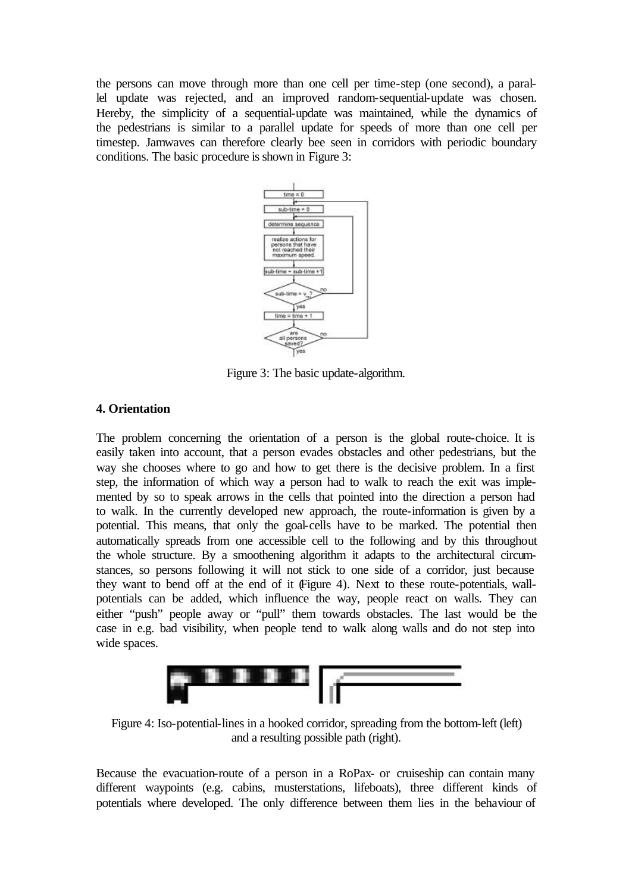the persons can move through more than one cell per time-step (one second), a parallel update was rejected, and an improved random-sequential-update was chosen. Hereby, the simplicity of a sequential-update was maintained, while the dynamics of the pedestrians is similar to a parallel update for speeds of more than one cell per timestep. Jamwaves can therefore clearly bee seen in corridors with periodic boundary conditions. The basic procedure is shown in Figure 3:



Figure 3: The basic update-algorithm.

### **4. Orientation**

The problem concerning the orientation of a person is the global route-choice. It is easily taken into account, that a person evades obstacles and other pedestrians, but the way she chooses where to go and how to get there is the decisive problem. In a first step, the information of which way a person had to walk to reach the exit was implemented by so to speak arrows in the cells that pointed into the direction a person had to walk. In the currently developed new approach, the route-information is given by a potential. This means, that only the goal-cells have to be marked. The potential then automatically spreads from one accessible cell to the following and by this throughout the whole structure. By a smoothening algorithm it adapts to the architectural circumstances, so persons following it will not stick to one side of a corridor, just because they want to bend off at the end of it (Figure 4). Next to these route-potentials, wallpotentials can be added, which influence the way, people react on walls. They can either "push" people away or "pull" them towards obstacles. The last would be the case in e.g. bad visibility, when people tend to walk along walls and do not step into wide spaces.



Figure 4: Iso-potential-lines in a hooked corridor, spreading from the bottom-left (left) and a resulting possible path (right).

Because the evacuation-route of a person in a RoPax- or cruiseship can contain many different waypoints (e.g. cabins, musterstations, lifeboats), three different kinds of potentials where developed. The only difference between them lies in the behaviour of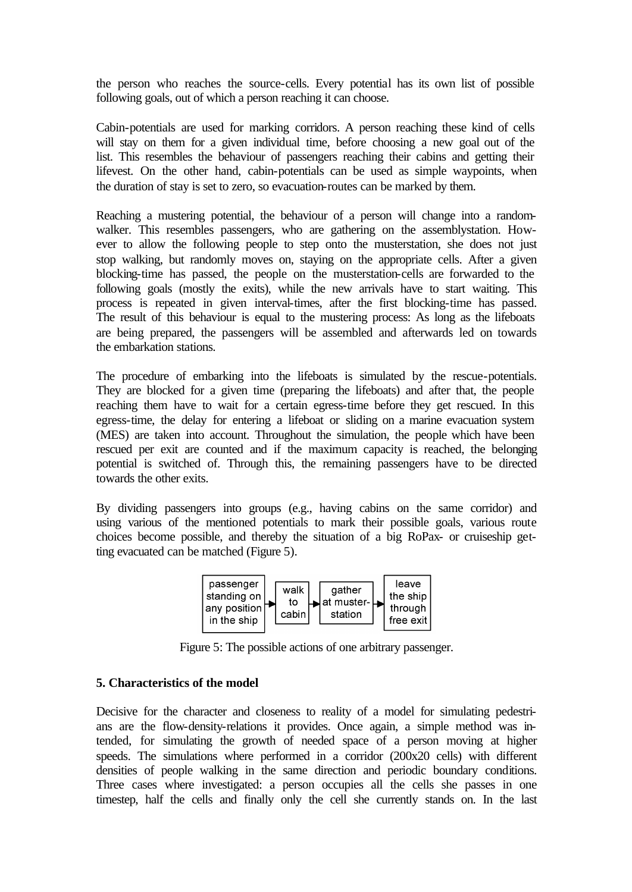the person who reaches the source-cells. Every potential has its own list of possible following goals, out of which a person reaching it can choose.

Cabin-potentials are used for marking corridors. A person reaching these kind of cells will stay on them for a given individual time, before choosing a new goal out of the list. This resembles the behaviour of passengers reaching their cabins and getting their lifevest. On the other hand, cabin-potentials can be used as simple waypoints, when the duration of stay is set to zero, so evacuation-routes can be marked by them.

Reaching a mustering potential, the behaviour of a person will change into a randomwalker. This resembles passengers, who are gathering on the assemblystation. However to allow the following people to step onto the musterstation, she does not just stop walking, but randomly moves on, staying on the appropriate cells. After a given blocking-time has passed, the people on the musterstation-cells are forwarded to the following goals (mostly the exits), while the new arrivals have to start waiting. This process is repeated in given interval-times, after the first blocking-time has passed. The result of this behaviour is equal to the mustering process: As long as the lifeboats are being prepared, the passengers will be assembled and afterwards led on towards the embarkation stations.

The procedure of embarking into the lifeboats is simulated by the rescue-potentials. They are blocked for a given time (preparing the lifeboats) and after that, the people reaching them have to wait for a certain egress-time before they get rescued. In this egress-time, the delay for entering a lifeboat or sliding on a marine evacuation system (MES) are taken into account. Throughout the simulation, the people which have been rescued per exit are counted and if the maximum capacity is reached, the belonging potential is switched of. Through this, the remaining passengers have to be directed towards the other exits.

By dividing passengers into groups (e.g., having cabins on the same corridor) and using various of the mentioned potentials to mark their possible goals, various route choices become possible, and thereby the situation of a big RoPax- or cruiseship getting evacuated can be matched (Figure 5).



Figure 5: The possible actions of one arbitrary passenger.

# **5. Characteristics of the model**

Decisive for the character and closeness to reality of a model for simulating pedestrians are the flow-density-relations it provides. Once again, a simple method was intended, for simulating the growth of needed space of a person moving at higher speeds. The simulations where performed in a corridor (200x20 cells) with different densities of people walking in the same direction and periodic boundary conditions. Three cases where investigated: a person occupies all the cells she passes in one timestep, half the cells and finally only the cell she currently stands on. In the last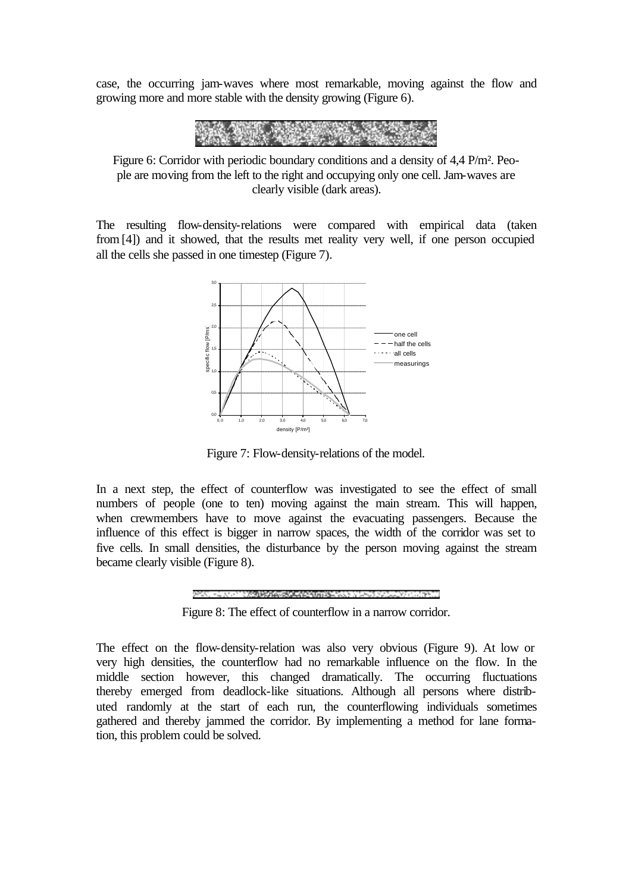case, the occurring jam-waves where most remarkable, moving against the flow and growing more and more stable with the density growing (Figure 6).



Figure 6: Corridor with periodic boundary conditions and a density of 4,4 P/m². People are moving from the left to the right and occupying only one cell. Jam-waves are clearly visible (dark areas).

The resulting flow-density-relations were compared with empirical data (taken from[4]) and it showed, that the results met reality very well, if one person occupied all the cells she passed in one timestep (Figure 7).



Figure 7: Flow-density-relations of the model.

In a next step, the effect of counterflow was investigated to see the effect of small numbers of people (one to ten) moving against the main stream. This will happen, when crewmembers have to move against the evacuating passengers. Because the influence of this effect is bigger in narrow spaces, the width of the corridor was set to five cells. In small densities, the disturbance by the person moving against the stream became clearly visible (Figure 8).



Figure 8: The effect of counterflow in a narrow corridor.

The effect on the flow-density-relation was also very obvious (Figure 9). At low or very high densities, the counterflow had no remarkable influence on the flow. In the middle section however, this changed dramatically. The occurring fluctuations thereby emerged from deadlock-like situations. Although all persons where distributed randomly at the start of each run, the counterflowing individuals sometimes gathered and thereby jammed the corridor. By implementing a method for lane formation, this problem could be solved.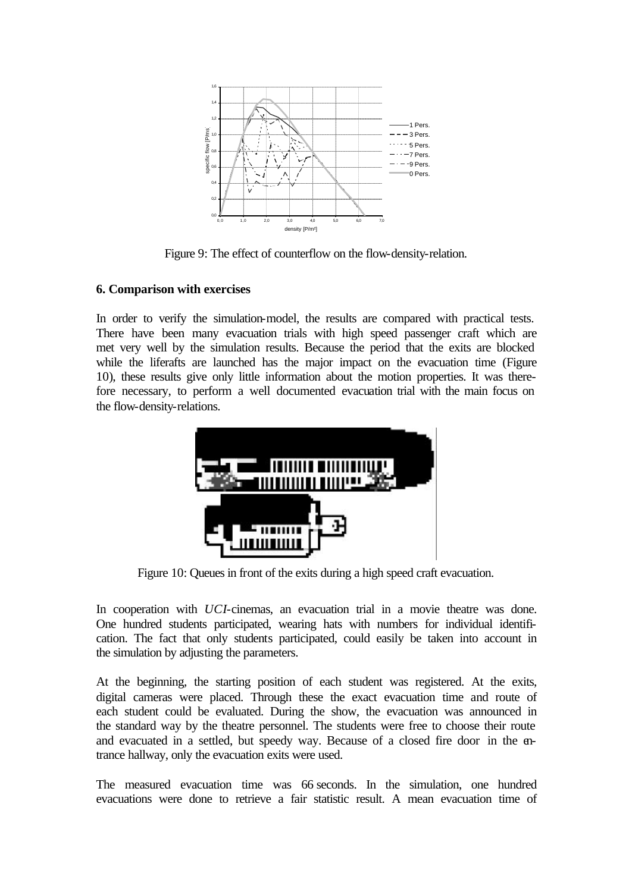

Figure 9: The effect of counterflow on the flow-density-relation.

### **6. Comparison with exercises**

In order to verify the simulation-model, the results are compared with practical tests. There have been many evacuation trials with high speed passenger craft which are met very well by the simulation results. Because the period that the exits are blocked while the liferafts are launched has the major impact on the evacuation time (Figure 10), these results give only little information about the motion properties. It was therefore necessary, to perform a well documented evacuation trial with the main focus on the flow-density-relations.



Figure 10: Queues in front of the exits during a high speed craft evacuation.

In cooperation with *UCI*-cinemas, an evacuation trial in a movie theatre was done. One hundred students participated, wearing hats with numbers for individual identification. The fact that only students participated, could easily be taken into account in the simulation by adjusting the parameters.

At the beginning, the starting position of each student was registered. At the exits, digital cameras were placed. Through these the exact evacuation time and route of each student could be evaluated. During the show, the evacuation was announced in the standard way by the theatre personnel. The students were free to choose their route and evacuated in a settled, but speedy way. Because of a closed fire door in the entrance hallway, only the evacuation exits were used.

The measured evacuation time was 66 seconds. In the simulation, one hundred evacuations were done to retrieve a fair statistic result. A mean evacuation time of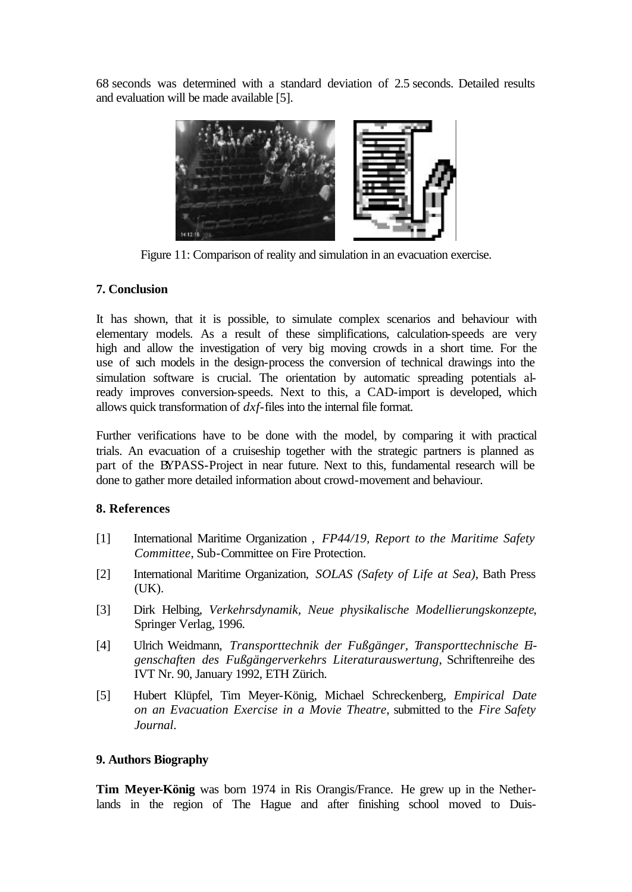68 seconds was determined with a standard deviation of 2.5 seconds. Detailed results and evaluation will be made available [5].



Figure 11: Comparison of reality and simulation in an evacuation exercise.

### **7. Conclusion**

It has shown, that it is possible, to simulate complex scenarios and behaviour with elementary models. As a result of these simplifications, calculation-speeds are very high and allow the investigation of very big moving crowds in a short time. For the use of such models in the design-process the conversion of technical drawings into the simulation software is crucial. The orientation by automatic spreading potentials already improves conversion-speeds. Next to this, a CAD-import is developed, which allows quick transformation of *dxf*-files into the internal file format.

Further verifications have to be done with the model, by comparing it with practical trials. An evacuation of a cruiseship together with the strategic partners is planned as part of the BYPASS-Project in near future. Next to this, fundamental research will be done to gather more detailed information about crowd-movement and behaviour.

#### **8. References**

- [1] International Maritime Organization , *FP44/19, Report to the Maritime Safety Committee*, Sub-Committee on Fire Protection.
- [2] International Maritime Organization, *SOLAS (Safety of Life at Sea)*, Bath Press (UK).
- [3] Dirk Helbing, *Verkehrsdynamik, Neue physikalische Modellierungskonzepte*, Springer Verlag, 1996.
- [4] Ulrich Weidmann, *Transporttechnik der Fußgänger, Transporttechnische Eigenschaften des Fußgängerverkehrs Literaturauswertung*, Schriftenreihe des IVT Nr. 90, January 1992, ETH Zürich.
- [5] Hubert Klüpfel, Tim Meyer-König, Michael Schreckenberg, *Empirical Date on an Evacuation Exercise in a Movie Theatre*, submitted to the *Fire Safety Journal*.

# **9. Authors Biography**

**Tim Meyer-König** was born 1974 in Ris Orangis/France. He grew up in the Netherlands in the region of The Hague and after finishing school moved to Duis-